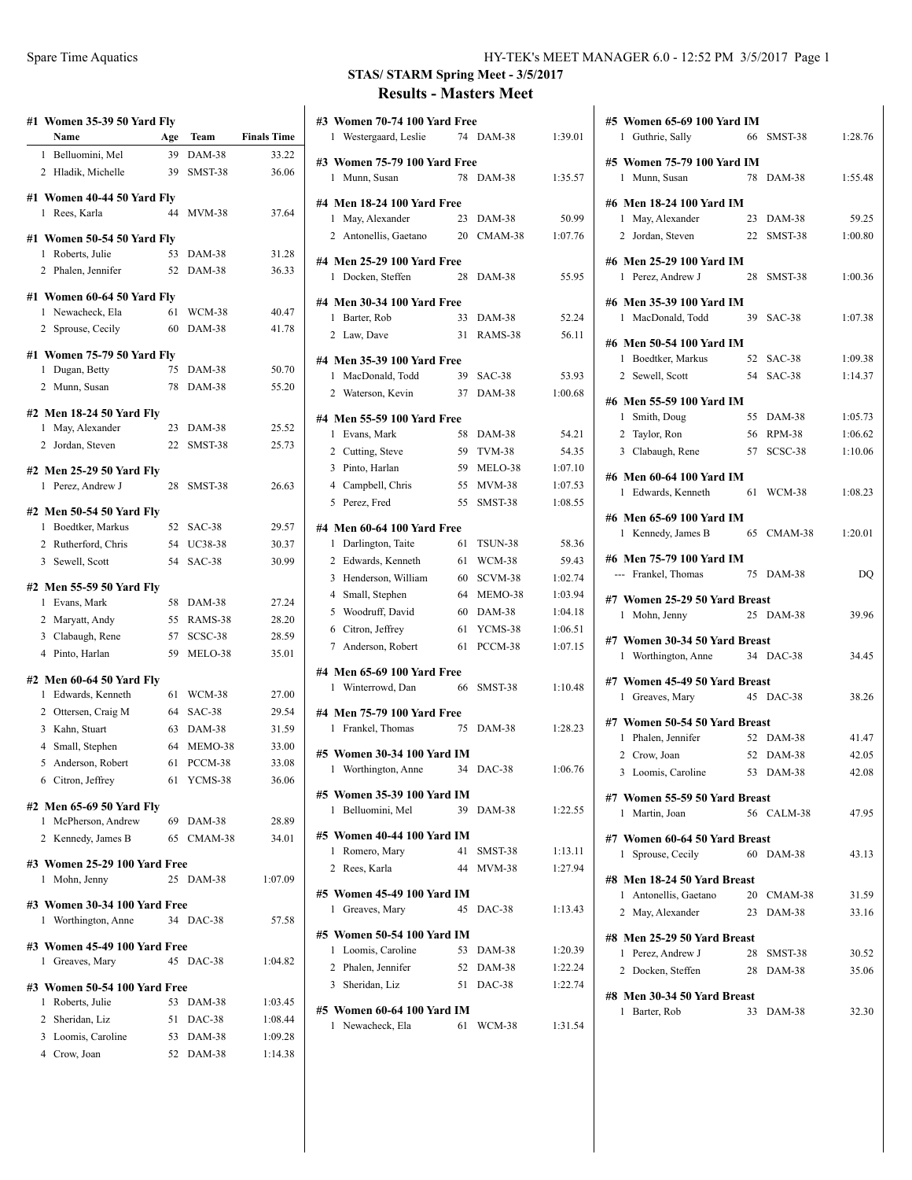| #1 Women 35-39 50 Yard Fly<br>Name    |           | Team                    | <b>Finals Time</b> |
|---------------------------------------|-----------|-------------------------|--------------------|
| 1 Belluomini, Mel                     | Age<br>39 | DAM-38                  | 33.22              |
| 2 Hladik, Michelle                    | 39        | SMST-38                 | 36.06              |
|                                       |           |                         |                    |
| #1 Women 40-44 50 Yard Fly            |           |                         |                    |
| 1 Rees, Karla                         | 44        | <b>MVM-38</b>           | 37.64              |
| #1 Women 50-54 50 Yard Fly            |           |                         |                    |
| 1 Roberts, Julie                      | 53        | <b>DAM-38</b>           | 31.28              |
| 2 Phalen, Jennifer                    | 52        | DAM-38                  | 36.33              |
| #1 Women 60-64 50 Yard Fly            |           |                         |                    |
| 1 Newacheck, Ela                      | 61        | WCM-38                  | 40.47              |
| 2 Sprouse, Cecily                     | 60        | DAM-38                  | 41.78              |
| #1 Women 75-79 50 Yard Fly            |           |                         |                    |
| 1 Dugan, Betty                        | 75        | DAM-38                  | 50.70              |
| 2 Munn, Susan                         | 78        | DAM-38                  | 55.20              |
|                                       |           |                         |                    |
| #2 Men 18-24 50 Yard Fly              |           |                         |                    |
| 1 May, Alexander                      |           | 23 DAM-38               | 25.52              |
| 2 Jordan, Steven                      | 22        | SMST-38                 | 25.73              |
| #2 Men 25-29 50 Yard Fly              |           |                         |                    |
| 1 Perez, Andrew J                     | 28        | SMST-38                 | 26.63              |
| #2 Men 50-54 50 Yard Fly              |           |                         |                    |
| 1 Boedtker, Markus                    | 52        | SAC-38                  | 29.57              |
| 2 Rutherford, Chris                   |           | 54 UC38-38              | 30.37              |
| 3 Sewell, Scott                       | 54        | <b>SAC-38</b>           | 30.99              |
| #2 Men 55-59 50 Yard Fly              |           |                         |                    |
| 1 Evans, Mark                         | 58        | DAM-38                  | 27.24              |
| 2 Maryatt, Andy                       |           | 55 RAMS-38              | 28.20              |
| 3 Clabaugh, Rene                      | 57        | SCSC-38                 | 28.59              |
| 4 Pinto, Harlan                       | 59        | MELO-38                 | 35.01              |
|                                       |           |                         |                    |
| #2 Men 60-64 50 Yard Fly              |           |                         |                    |
| 1 Edwards, Kenneth                    | 61<br>64  | WCM-38<br><b>SAC-38</b> | 27.00              |
| 2 Ottersen, Craig M<br>3 Kahn, Stuart | 63        | DAM-38                  | 29.54<br>31.59     |
| 4 Small, Stephen                      | 64        | MEMO-38                 | 33.00              |
| 5<br>Anderson, Robert                 | 61        | PCCM-38                 | 33.08              |
| 6 Citron, Jeffrey                     |           | 61 YCMS-38              | 36.06              |
|                                       |           |                         |                    |
| #2 Men 65-69 50 Yard Fly              |           |                         |                    |
| McPherson, Andrew<br>$\mathbf{1}$     |           | 69 DAM-38               | 28.89              |
| 2 Kennedy, James B                    |           | 65 CMAM-38              | 34.01              |
| #3 Women 25-29 100 Yard Free          |           |                         |                    |
| 1 Mohn, Jenny                         |           | 25 DAM-38               | 1:07.09            |
| #3 Women 30-34 100 Yard Free          |           |                         |                    |
| 1 Worthington, Anne                   |           | 34 DAC-38               | 57.58              |
|                                       |           |                         |                    |
| #3 Women 45-49 100 Yard Free          |           |                         |                    |
| 1 Greaves, Mary                       |           | 45 DAC-38               | 1:04.82            |
| #3 Women 50-54 100 Yard Free          |           |                         |                    |
| Roberts, Julie<br>1                   | 53        | DAM-38                  | 1:03.45            |
| 2 Sheridan, Liz                       |           | 51 DAC-38               | 1:08.44            |
| 3 Loomis, Caroline                    |           | 53 DAM-38               | 1:09.28            |

Crow, Joan 52 DAM-38 1:14.38

## **STAS/ STARM Spring Meet - 3/5/2017 Results - Masters Meet**

| #3 Women 70-74 100 Yard Free                                    |                     |         |  |
|-----------------------------------------------------------------|---------------------|---------|--|
| 1 Westergaard, Leslie                                           | 74 DAM-38           | 1:39.01 |  |
| #3 Women 75-79 100 Yard Free<br>Munn, Susan<br>1                | 78 DAM-38           | 1:35.57 |  |
|                                                                 |                     |         |  |
| #4 Men 18-24 100 Yard Free                                      |                     |         |  |
| 1 May, Alexander                                                | 23<br>DAM-38        | 50.99   |  |
| 2 Antonellis, Gaetano 20                                        | CMAM-38             | 1:07.76 |  |
| #4 Men 25-29 100 Yard Free                                      |                     |         |  |
| Docken, Steffen<br>1                                            | 28<br>DAM-38        | 55.95   |  |
|                                                                 |                     |         |  |
| #4 Men 30-34 100 Yard Free<br>1 Barter, Rob                     | 33<br>DAM-38        | 52.24   |  |
| 2 Law, Dave                                                     | 31<br>RAMS-38       | 56.11   |  |
|                                                                 |                     |         |  |
| #4 Men 35-39 100 Yard Free                                      |                     |         |  |
| 1 MacDonald, Todd                                               | 39<br>SAC-38        | 53.93   |  |
| 2 Waterson, Kevin                                               | 37<br>DAM-38        | 1:00.68 |  |
| #4 Men 55-59 100 Yard Free                                      |                     |         |  |
| 1 Evans, Mark                                                   | 58<br>DAM-38        | 54.21   |  |
| 2 Cutting, Steve                                                | 59<br><b>TVM-38</b> | 54.35   |  |
| 3<br>Pinto, Harlan                                              | 59<br>MELO-38       | 1:07.10 |  |
| 4 Campbell, Chris                                               | 55<br><b>MVM-38</b> | 1:07.53 |  |
| 5 Perez, Fred                                                   | 55<br>SMST-38       | 1:08.55 |  |
|                                                                 |                     |         |  |
| #4 Men 60-64 100 Yard Free<br>$\mathbf{1}$<br>Darlington, Taite | 61<br>TSUN-38       | 58.36   |  |
| 2 Edwards, Kenneth                                              | WCM-38<br>61        | 59.43   |  |
| 3<br>Henderson, William                                         | SCVM-38<br>60       | 1:02.74 |  |
| $\overline{4}$<br>Small, Stephen                                | 64 MEMO-38          | 1:03.94 |  |
| 5 Woodruff, David                                               | DAM-38<br>60        | 1:04.18 |  |
| 6 Citron, Jeffrey                                               | 61<br>YCMS-38       | 1:06.51 |  |
| 7 Anderson, Robert                                              | 61<br>PCCM-38       | 1:07.15 |  |
|                                                                 |                     |         |  |
| #4 Men 65-69 100 Yard Free                                      |                     |         |  |
| Winterrowd, Dan<br>1                                            | 66<br>SMST-38       | 1:10.48 |  |
| #4 Men 75-79 100 Yard Free                                      |                     |         |  |
| 1 Frankel, Thomas                                               | 75<br><b>DAM-38</b> | 1:28.23 |  |
| #5 Women 30-34 100 Yard IM                                      |                     |         |  |
| 1 Worthington, Anne                                             | 34 DAC-38           | 1:06.76 |  |
|                                                                 |                     |         |  |
| #5 Women 35-39 100 Yard IM                                      |                     |         |  |
| Belluomini, Mel<br>1                                            | 39 DAM-38           | 1:22.55 |  |
| #5 Women 40-44 100 Yard IM                                      |                     |         |  |
| $\mathbf{1}$<br>Romero, Mary                                    | 41<br>SMST-38       | 1:13.11 |  |
| 2 Rees, Karla                                                   | 44<br>$MVM-38$      | 1:27.94 |  |
| #5 Women 45-49 100 Yard IM                                      |                     |         |  |
| 1 Greaves, Mary                                                 | 45<br>$DAC-38$      | 1:13.43 |  |
|                                                                 |                     |         |  |
| #5 Women 50-54 100 Yard IM                                      |                     |         |  |
| 1 Loomis, Caroline                                              | 53 DAM-38           | 1:20.39 |  |
| 2 Phalen, Jennifer                                              | 52 DAM-38           | 1:22.24 |  |
| 3 Sheridan, Liz                                                 | 51 DAC-38           | 1:22.74 |  |
| #5 Women 60-64 100 Yard IM                                      |                     |         |  |
| 1 Newacheck, Ela                                                | 61<br>WCM-38        | 1:31.54 |  |
|                                                                 |                     |         |  |

| #5 Women 65-69 100 Yard IM<br>1 Guthrie, Sally   | 66<br>SMST-38  | 1:28.76        |  |  |
|--------------------------------------------------|----------------|----------------|--|--|
| #5 Women 75-79 100 Yard IM                       |                |                |  |  |
| 1 Munn, Susan                                    | 78 DAM-38      | 1:55.48        |  |  |
| #6 Men 18-24 100 Yard IM                         |                |                |  |  |
| 1 May, Alexander                                 | 23 DAM-38      | 59.25          |  |  |
| 2 Jordan, Steven                                 | 22 SMST-38     | 1:00.80        |  |  |
| #6 Men 25-29 100 Yard IM                         |                |                |  |  |
| 1 Perez, Andrew J                                | 28<br>SMST-38  | 1:00.36        |  |  |
| #6 Men 35-39 100 Yard IM                         |                |                |  |  |
| 1 MacDonald, Todd                                | 39 SAC-38      | 1:07.38        |  |  |
| #6 Men 50-54 100 Yard IM                         |                |                |  |  |
| 1 Boedtker, Markus                               | 52 SAC-38      | 1:09.38        |  |  |
| 2 Sewell, Scott                                  | 54 SAC-38      | 1:14.37        |  |  |
| #6 Men 55-59 100 Yard IM                         |                |                |  |  |
| 1 Smith, Doug                                    | 55 DAM-38      | 1:05.73        |  |  |
| 2 Taylor, Ron                                    | 56 RPM-38      | 1:06.62        |  |  |
| 3 Clabaugh, Rene                                 | 57 SCSC-38     | 1:10.06        |  |  |
|                                                  |                |                |  |  |
| #6 Men 60-64 100 Yard IM                         | <b>WCM-38</b>  | 1:08.23        |  |  |
| 1 Edwards, Kenneth 61                            |                |                |  |  |
| #6 Men 65-69 100 Yard IM                         |                |                |  |  |
| 1 Kennedy, James B                               | 65 CMAM-38     | 1:20.01        |  |  |
| #6 Men 75-79 100 Yard IM                         |                |                |  |  |
| --- Frankel, Thomas                              | 75<br>$DAM-38$ | DQ             |  |  |
|                                                  |                |                |  |  |
| #7 Women 25-29 50 Yard Breast<br>1 Mohn, Jenny   | 25 DAM-38      | 39.96          |  |  |
|                                                  |                |                |  |  |
| #7 Women 30-34 50 Yard Breast                    |                |                |  |  |
| 1 Worthington, Anne                              | 34 DAC-38      | 34.45          |  |  |
| #7 Women 45-49 50 Yard Breast                    |                |                |  |  |
| 1 Greaves, Mary                                  | 45 DAC-38      | 38.26          |  |  |
| #7 Women 50-54 50 Yard Breast                    |                |                |  |  |
| 1 Phalen, Jennifer                               | 52 DAM-38      | 41.47          |  |  |
| 2 Crow, Joan                                     | 52 DAM-38      | 42.05          |  |  |
| 3 Loomis, Caroline                               | 53 DAM-38      | 42.08          |  |  |
|                                                  |                |                |  |  |
| #7 Women 55-59 50 Yard Breast                    |                |                |  |  |
| 1 Martin, Joan                                   | 56 CALM-38     | 47.95          |  |  |
| #7 Women 60-64 50 Yard Breast                    |                |                |  |  |
| 1 Sprouse, Cecily                                | 60 DAM-38      | 43.13          |  |  |
| #8 Men 18-24 50 Yard Breast                      |                |                |  |  |
| 1 Antonellis, Gaetano                            | 20 CMAM-38     | 31.59          |  |  |
| 2 May, Alexander                                 | 23 DAM-38      | 33.16          |  |  |
|                                                  |                |                |  |  |
| #8 Men 25-29 50 Yard Breast<br>1 Perez, Andrew J | 28 SMST-38     |                |  |  |
| 2 Docken. Steffen                                | 28 DAM-38      | 30.52<br>35.06 |  |  |
|                                                  |                |                |  |  |
| #8 Men 30-34 50 Yard Breast                      |                |                |  |  |
| 1 Barter, Rob                                    | 33 DAM-38      | 32.30          |  |  |
|                                                  |                |                |  |  |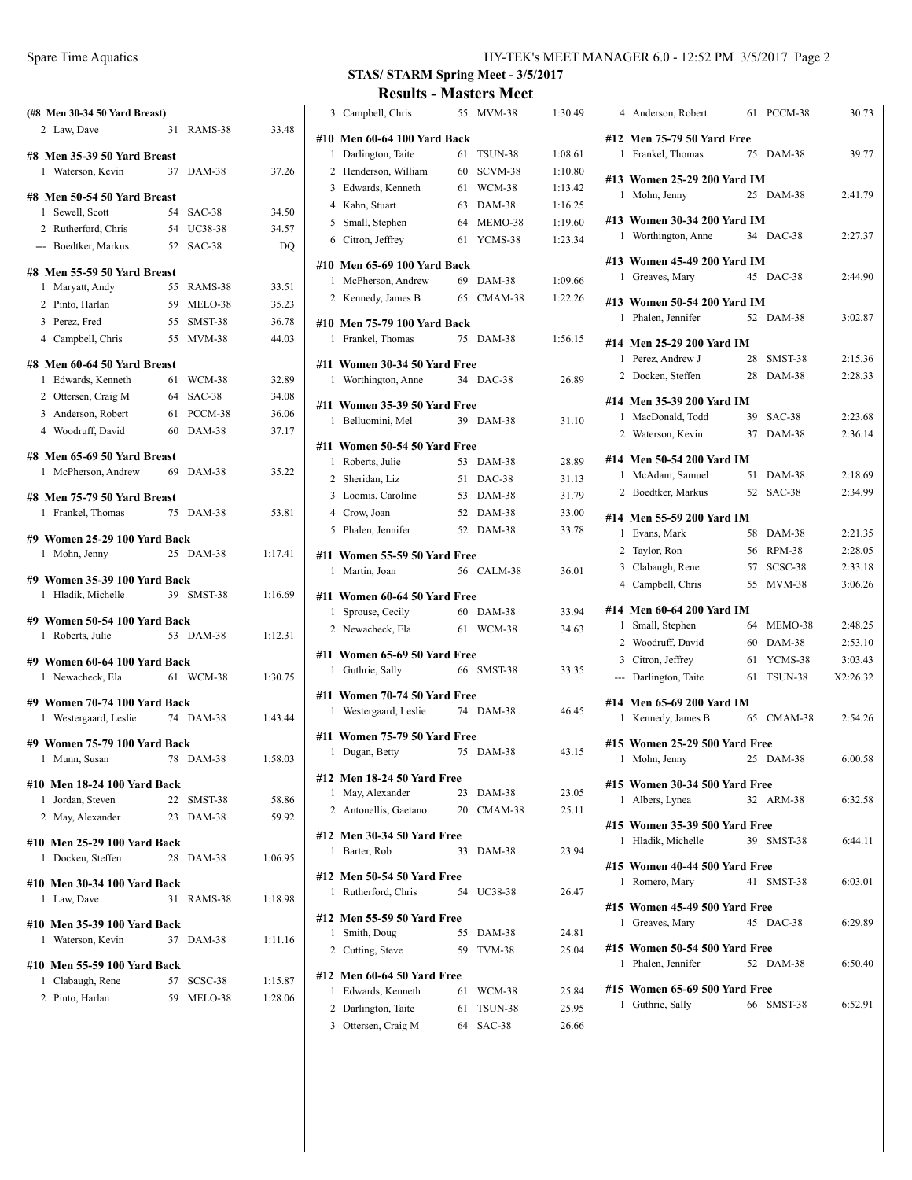| (#8 Men 30-34 50 Yard Breast)                    |          |                   |                |
|--------------------------------------------------|----------|-------------------|----------------|
| 2 Law, Dave                                      | 31       | RAMS-38           | 33.48          |
| #8 Men 35-39 50 Yard Breast                      |          |                   |                |
| 1 Waterson, Kevin                                | 37       | <b>DAM-38</b>     | 37.26          |
|                                                  |          |                   |                |
| #8 Men 50-54 50 Yard Breast<br>1 Sewell, Scott   | 54       | $SAC-38$          | 34.50          |
| 2 Rutherford, Chris                              |          | 54 UC38-38        | 34.57          |
| --- Boedtker, Markus                             | 52       | SAC-38            | DQ             |
|                                                  |          |                   |                |
| #8 Men 55-59 50 Yard Breast                      | 55       | RAMS-38           | 33.51          |
| 1 Maryatt, Andy<br>2 Pinto, Harlan               |          | 59 MELO-38        | 35.23          |
| 3 Perez, Fred                                    | 55       | SMST-38           | 36.78          |
| 4 Campbell, Chris                                |          | 55 MVM-38         | 44.03          |
|                                                  |          |                   |                |
| #8 Men 60-64 50 Yard Breast                      |          |                   |                |
| Edwards, Kenneth<br>1                            | 61       | WCM-38            | 32.89          |
| 2 Ottersen, Craig M<br>3 Anderson, Robert        | 64       | SAC-38            | 34.08          |
| 4 Woodruff, David                                | 61<br>60 | PCCM-38<br>DAM-38 | 36.06<br>37.17 |
|                                                  |          |                   |                |
| #8 Men 65-69 50 Yard Breast                      |          |                   |                |
| 1 McPherson, Andrew                              | 69       | DAM-38            | 35.22          |
| #8 Men 75-79 50 Yard Breast                      |          |                   |                |
| Frankel, Thomas<br>1                             |          | 75 DAM-38         | 53.81          |
|                                                  |          |                   |                |
| #9 Women 25-29 100 Yard Back<br>1 Mohn, Jenny    |          | 25 DAM-38         | 1:17.41        |
|                                                  |          |                   |                |
| #9 Women 35-39 100 Yard Back                     |          |                   |                |
| 1 Hladik, Michelle                               |          | 39 SMST-38        | 1:16.69        |
| #9 Women 50-54 100 Yard Back                     |          |                   |                |
| 1 Roberts, Julie                                 |          | 53 DAM-38         | 1:12.31        |
| #9 Women 60-64 100 Yard Back                     |          |                   |                |
| 1 Newacheck, Ela                                 |          | 61 WCM-38         | 1:30.75        |
|                                                  |          |                   |                |
| #9 Women 70-74 100 Yard Back                     |          |                   |                |
| 1 Westergaard, Leslie                            |          | 74 DAM-38         | 1:43.44        |
| #9 Women 75-79 100 Yard Back                     |          |                   |                |
| 1 Munn, Susan                                    |          | 78 DAM-38         | 1:58.03        |
| #10 Men 18-24 100 Yard Back                      |          |                   |                |
| 1 Jordan, Steven                                 |          | 22 SMST-38        | 58.86          |
| 2 May, Alexander                                 |          | 23 DAM-38         | 59.92          |
|                                                  |          |                   |                |
| #10 Men 25-29 100 Yard Back<br>1 Docken, Steffen |          | 28 DAM-38         | 1:06.95        |
|                                                  |          |                   |                |
| #10 Men 30-34 100 Yard Back                      |          |                   |                |
| 1 Law, Dave                                      |          | 31 RAMS-38        | 1:18.98        |
| #10 Men 35-39 100 Yard Back                      |          |                   |                |
| 1 Waterson, Kevin                                |          | 37 DAM-38         | 1:11.16        |
| #10 Men 55-59 100 Yard Back                      |          |                   |                |
| 1 Clabaugh, Rene                                 |          | 57 SCSC-38        | 1:15.87        |
| 2 Pinto, Harlan 59 MELO-38 1:28.06               |          |                   |                |

## **STAS/ STARM Spring Meet - 3/5/2017 Results - Masters Meet**

|                            | 3 Campbell, Chris                               | 55 | <b>MVM-38</b>           | 1:30.49        |  |
|----------------------------|-------------------------------------------------|----|-------------------------|----------------|--|
|                            | #10 Men 60-64 100 Yard Back                     |    |                         |                |  |
| 1                          | Darlington, Taite                               | 61 | TSUN-38                 | 1:08.61        |  |
|                            | 2 Henderson, William                            | 60 | SCVM-38                 | 1:10.80        |  |
|                            | 3 Edwards, Kenneth                              | 61 | WCM-38                  | 1:13.42        |  |
|                            | 4 Kahn, Stuart                                  | 63 | DAM-38                  | 1:16.25        |  |
|                            | 5 Small, Stephen                                | 64 | MEMO-38                 | 1:19.60        |  |
|                            | 6 Citron, Jeffrey                               | 61 | YCMS-38                 | 1:23.34        |  |
|                            | #10 Men 65-69 100 Yard Back                     |    |                         |                |  |
|                            | 1 McPherson, Andrew                             | 69 | DAM-38                  | 1:09.66        |  |
|                            | 2 Kennedy, James B                              | 65 | CMAM-38                 | 1:22.26        |  |
|                            |                                                 |    |                         |                |  |
| 1                          | #10  Men 75-79 100 Yard Back<br>Frankel, Thomas | 75 | DAM-38                  | 1:56.15        |  |
|                            |                                                 |    |                         |                |  |
|                            | #11 Women 30-34 50 Yard Free                    |    |                         |                |  |
| 1                          | Worthington, Anne                               |    | 34 DAC-38               | 26.89          |  |
|                            | #11   Women 35-39 50 Yard Free                  |    |                         |                |  |
| 1                          | Belluomini, Mel                                 |    | 39 DAM-38               | 31.10          |  |
|                            | #11 Women 50-54 50 Yard Free                    |    |                         |                |  |
| 1                          | Roberts, Julie                                  |    | 53 DAM-38               | 28.89          |  |
|                            | 2 Sheridan, Liz                                 | 51 | DAC-38                  | 31.13          |  |
|                            | 3 Loomis, Caroline                              | 53 | <b>DAM-38</b>           | 31.79          |  |
|                            | 4 Crow, Joan                                    | 52 | DAM-38                  | 33.00          |  |
|                            | 5 Phalen, Jennifer                              |    | 52 DAM-38               | 33.78          |  |
|                            | #11 Women 55-59 50 Yard Free                    |    |                         |                |  |
|                            | 1 Martin, Joan                                  |    | 56 CALM-38              | 36.01          |  |
|                            |                                                 |    |                         |                |  |
|                            | #11 Women 60-64 50 Yard Free                    |    |                         |                |  |
| 1                          | Sprouse, Cecily<br>2 Newacheck, Ela             | 61 | 60 DAM-38<br>WCM-38     | 33.94<br>34.63 |  |
|                            |                                                 |    |                         |                |  |
|                            | #11 Women 65-69 50 Yard Free                    |    |                         |                |  |
| 1                          | Guthrie, Sally                                  |    | 66 SMST-38              | 33.35          |  |
|                            | #11 Women 70-74 50 Yard Free                    |    |                         |                |  |
| 1                          | Westergaard, Leslie                             |    | 74 DAM-38               | 46.45          |  |
|                            | #11 Women 75-79 50 Yard Free                    |    |                         |                |  |
| 1                          | Dugan, Betty                                    |    | 75 DAM-38               | 43.15          |  |
|                            |                                                 |    |                         |                |  |
|                            | #12 Men 18-24 50 Yard Free                      |    |                         |                |  |
|                            | 1 May, Alexander<br>2 Antonellis, Gaetano       |    | 23 DAM-38<br>20 CMAM-38 | 23.05<br>25.11 |  |
|                            |                                                 |    |                         |                |  |
|                            | #12 Men 30-34 50 Yard Free                      |    |                         |                |  |
| 1                          | Barter, Rob                                     | 33 | $DAM-38$                | 23.94          |  |
| #12 Men 50-54 50 Yard Free |                                                 |    |                         |                |  |
|                            | 1 Rutherford, Chris                             | 54 | UC38-38                 | 26.47          |  |
|                            | #12 Men 55-59 50 Yard Free                      |    |                         |                |  |
|                            | 1 Smith, Doug                                   | 55 | DAM-38                  | 24.81          |  |
|                            | 2 Cutting, Steve                                | 59 | <b>TVM-38</b>           | 25.04          |  |
|                            |                                                 |    |                         |                |  |
|                            | #12 Men 60-64 50 Yard Free                      |    |                         |                |  |
|                            | 1 Edwards, Kenneth                              | 61 | WCM-38                  | 25.84          |  |
|                            | 2 Darlington, Taite                             | 61 | TSUN-38                 | 25.95          |  |
|                            | 3 Ottersen, Craig M                             |    | 64 SAC-38               | 26.66          |  |

| 4 Anderson, Robert<br>61                                          | PCCM-38<br>30.73         |
|-------------------------------------------------------------------|--------------------------|
| #12 Men 75-79 50 Yard Free<br>1 Frankel, Thomas<br>75             | $DAM-38$<br>39.77        |
| #13 Women 25-29 200 Yard IM<br>25 DAM-38<br>1 Mohn, Jenny         | 2:41.79                  |
| #13 Women 30-34 200 Yard IM<br>34 DAC-38<br>1 Worthington, Anne   | 2:27.37                  |
| #13 Women 45-49 200 Yard IM<br>45 DAC-38<br>1 Greaves, Mary       | 2:44.90                  |
| #13 Women 50-54 200 Yard IM<br>1 Phalen, Jennifer<br>52           | $DAM-38$<br>3:02.87      |
| #14 Men 25-29 200 Yard IM                                         |                          |
| 1 Perez, Andrew J<br>28                                           | 2:15.36<br>SMST-38       |
| 2 Docken, Steffen<br>28                                           | $DAM-38$<br>2:28.33      |
| #14 Men 35-39 200 Yard IM                                         |                          |
| 1 MacDonald, Todd<br>39<br>SAC-38                                 | 2:23.68                  |
| 2 Waterson, Kevin<br>37                                           | $DAM-38$<br>2:36.14      |
| #14 Men 50-54 200 Yard IM                                         |                          |
| 1 McAdam, Samuel<br>51                                            | 2:18.69<br>DAM-38        |
| 2 Boedtker, Markus<br>52<br>$SAC-38$                              | 2:34.99                  |
|                                                                   |                          |
| #14 Men 55-59 200 Yard IM                                         |                          |
| 1 Evans, Mark<br>58<br>DAM-38                                     | 2:21.35                  |
| 56 RPM-38<br>2 Taylor, Ron                                        | 2:28.05<br>2:33.18       |
| 3 Clabaugh, Rene<br>57 SCSC-38                                    |                          |
| 4 Campbell, Chris<br>55                                           | <b>MVM-38</b><br>3:06.26 |
| #14 Men 60-64 200 Yard IM                                         |                          |
| 64<br>1 Small, Stephen                                            | MEMO-38<br>2:48.25       |
| 2 Woodruff, David<br>60<br>DAM-38                                 | 2:53.10                  |
| 3 Citron, Jeffrey<br>61                                           | YCMS-38<br>3:03.43       |
| --- Darlington, Taite<br>61                                       | TSUN-38<br>X2:26.32      |
| #14 Men 65-69 200 Yard IM                                         |                          |
| 1 Kennedy, James B<br>65 CMAM-38                                  | 2:54.26                  |
| #15 Women 25-29 500 Yard Free                                     |                          |
| 25 DAM-38<br>1 Mohn, Jenny                                        | 6:00.58                  |
|                                                                   |                          |
| #15 Women 30-34 500 Yard Free<br>32 ARM-38<br>1 Albers, Lynea     | 6:32.58                  |
|                                                                   |                          |
| #15 Women 35-39 500 Yard Free<br>1 Hladik, Michelle<br>39 SMST-38 | 6:44.11                  |
| #15 Women 40-44 500 Yard Free<br>41<br>1 Romero, Mary             | SMST-38<br>6:03.01       |
| #15 Women 45-49 500 Yard Free<br>45 DAC-38<br>1 Greaves, Mary     | 6:29.89                  |
| #15 Women 50-54 500 Yard Free<br>52 DAM-38<br>1 Phalen, Jennifer  | 6:50.40                  |
| #15 Women 65-69 500 Yard Free<br>1 Guthrie, Sally<br>66           | SMST-38<br>6:52.91       |